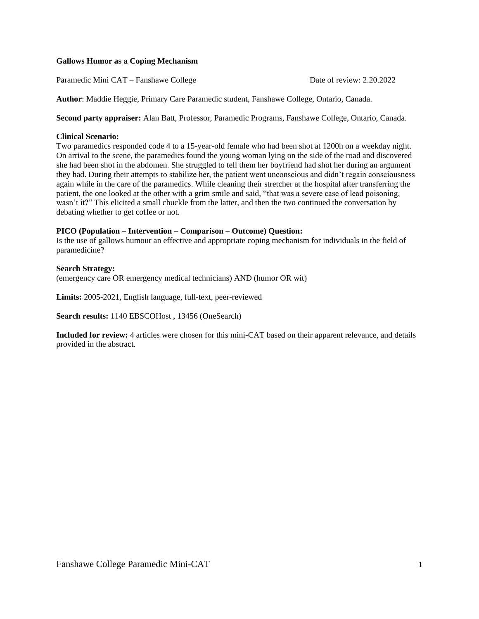### **Gallows Humor as a Coping Mechanism**

Paramedic Mini CAT – Fanshawe College Date of review: 2.20.2022

**Author**: Maddie Heggie, Primary Care Paramedic student, Fanshawe College, Ontario, Canada.

**Second party appraiser:** Alan Batt, Professor, Paramedic Programs, Fanshawe College, Ontario, Canada.

#### **Clinical Scenario:**

Two paramedics responded code 4 to a 15-year-old female who had been shot at 1200h on a weekday night. On arrival to the scene, the paramedics found the young woman lying on the side of the road and discovered she had been shot in the abdomen. She struggled to tell them her boyfriend had shot her during an argument they had. During their attempts to stabilize her, the patient went unconscious and didn't regain consciousness again while in the care of the paramedics. While cleaning their stretcher at the hospital after transferring the patient, the one looked at the other with a grim smile and said, "that was a severe case of lead poisoning, wasn't it?" This elicited a small chuckle from the latter, and then the two continued the conversation by debating whether to get coffee or not.

#### **PICO (Population – Intervention – Comparison – Outcome) Question:**

Is the use of gallows humour an effective and appropriate coping mechanism for individuals in the field of paramedicine?

### **Search Strategy:**

(emergency care OR emergency medical technicians) AND (humor OR wit)

**Limits:** 2005-2021, English language, full-text, peer-reviewed

**Search results:** 1140 EBSCOHost , 13456 (OneSearch)

**Included for review:** 4 articles were chosen for this mini-CAT based on their apparent relevance, and details provided in the abstract.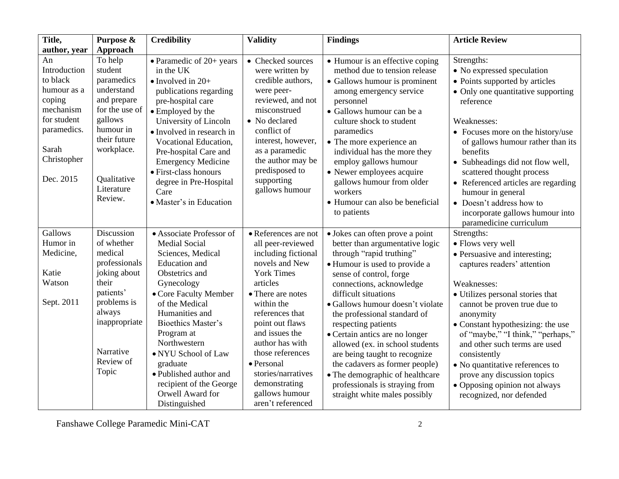| Title,       | Purpose &                 | <b>Credibility</b>               | <b>Validity</b>      | <b>Findings</b>                  | <b>Article Review</b>               |
|--------------|---------------------------|----------------------------------|----------------------|----------------------------------|-------------------------------------|
| author, year | Approach                  |                                  |                      |                                  |                                     |
| An           | To help                   | $\bullet$ Paramedic of 20+ years | • Checked sources    | • Humour is an effective coping  | Strengths:                          |
| Introduction | student                   | in the UK                        | were written by      | method due to tension release    | • No expressed speculation          |
| to black     | paramedics                | $\bullet$ Involved in 20+        | credible authors,    | • Gallows humour is prominent    | • Points supported by articles      |
| humour as a  | understand                | publications regarding           | were peer-           | among emergency service          | • Only one quantitative supporting  |
| coping       | and prepare               | pre-hospital care                | reviewed, and not    | personnel                        | reference                           |
| mechanism    | for the use of            | • Employed by the                | misconstrued         | • Gallows humour can be a        |                                     |
| for student  | gallows                   | University of Lincoln            | • No declared        | culture shock to student         | Weaknesses:                         |
| paramedics.  | humour in                 | • Involved in research in        | conflict of          | paramedics                       | • Focuses more on the history/use   |
|              | their future              | Vocational Education,            | interest, however,   | • The more experience an         | of gallows humour rather than its   |
| Sarah        | workplace.                | Pre-hospital Care and            | as a paramedic       | individual has the more they     | benefits                            |
| Christopher  |                           | <b>Emergency Medicine</b>        | the author may be    | employ gallows humour            | • Subheadings did not flow well,    |
|              |                           | · First-class honours            | predisposed to       | • Newer employees acquire        | scattered thought process           |
| Dec. 2015    | Qualitative<br>Literature | degree in Pre-Hospital           | supporting           | gallows humour from older        | • Referenced articles are regarding |
|              |                           | Care                             | gallows humour       | workers                          | humour in general                   |
|              | Review.                   | • Master's in Education          |                      | · Humour can also be beneficial  | • Doesn't address how to            |
|              |                           |                                  |                      | to patients                      | incorporate gallows humour into     |
|              |                           |                                  |                      |                                  | paramedicine curriculum             |
| Gallows      | Discussion                | • Associate Professor of         | • References are not | · Jokes can often prove a point  | Strengths:                          |
| Humor in     | of whether                | <b>Medial Social</b>             | all peer-reviewed    | better than argumentative logic  | • Flows very well                   |
| Medicine,    | medical                   | Sciences, Medical                | including fictional  | through "rapid truthing"         | • Persuasive and interesting;       |
|              | professionals             | <b>Education</b> and             | novels and New       | • Humour is used to provide a    | captures readers' attention         |
| Katie        | joking about              | Obstetrics and                   | <b>York Times</b>    | sense of control, forge          |                                     |
| Watson       | their                     | Gynecology                       | articles             | connections, acknowledge         | Weaknesses:                         |
|              | patients'                 | • Core Faculty Member            | • There are notes    | difficult situations             | • Utilizes personal stories that    |
| Sept. 2011   | problems is               | of the Medical                   | within the           | · Gallows humour doesn't violate | cannot be proven true due to        |
|              | always                    | Humanities and                   | references that      | the professional standard of     | anonymity                           |
|              | inappropriate             | <b>Bioethics Master's</b>        | point out flaws      | respecting patients              | • Constant hypothesizing: the use   |
|              |                           | Program at                       | and issues the       | • Certain antics are no longer   | of "maybe," "I think," "perhaps,"   |
|              |                           | Northwestern                     | author has with      | allowed (ex. in school students  | and other such terms are used       |
|              | Narrative                 | • NYU School of Law              | those references     | are being taught to recognize    | consistently                        |
|              | Review of                 | graduate                         | • Personal           | the cadavers as former people)   | • No quantitative references to     |
|              | Topic                     | • Published author and           | stories/narratives   | • The demographic of healthcare  | prove any discussion topics         |
|              |                           | recipient of the George          | demonstrating        | professionals is straying from   | • Opposing opinion not always       |
|              |                           | Orwell Award for                 | gallows humour       | straight white males possibly    | recognized, nor defended            |
|              |                           | Distinguished                    | aren't referenced    |                                  |                                     |

Fanshawe College Paramedic Mini-CAT 2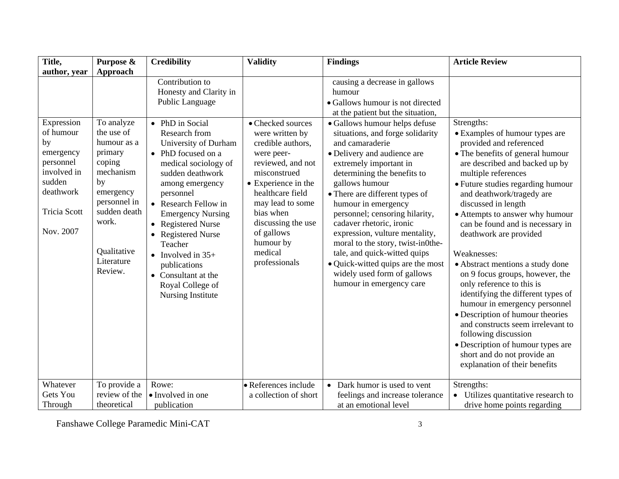| Title,                                                                  | Purpose &                                                                                                     | <b>Credibility</b>                                                                                                                                                                                      | <b>Validity</b>                                                                                                                                                       | <b>Findings</b>                                                                                                                                                                                                                                                                                                  | <b>Article Review</b>                                                                                                                                                                                                                                                                                                                     |
|-------------------------------------------------------------------------|---------------------------------------------------------------------------------------------------------------|---------------------------------------------------------------------------------------------------------------------------------------------------------------------------------------------------------|-----------------------------------------------------------------------------------------------------------------------------------------------------------------------|------------------------------------------------------------------------------------------------------------------------------------------------------------------------------------------------------------------------------------------------------------------------------------------------------------------|-------------------------------------------------------------------------------------------------------------------------------------------------------------------------------------------------------------------------------------------------------------------------------------------------------------------------------------------|
| author, year<br>Expression<br>of humour<br>by<br>emergency<br>personnel | Approach<br>To analyze<br>the use of<br>humour as a<br>primary<br>coping                                      | Contribution to<br>Honesty and Clarity in<br>Public Language<br>• PhD in Social<br>Research from<br>University of Durham<br>• PhD focused on a<br>medical sociology of                                  | • Checked sources<br>were written by<br>credible authors,<br>were peer-<br>reviewed, and not                                                                          | causing a decrease in gallows<br>humour<br>• Gallows humour is not directed<br>at the patient but the situation,<br>· Gallows humour helps defuse<br>situations, and forge solidarity<br>and camaraderie<br>• Delivery and audience are<br>extremely important in                                                | Strengths:<br>• Examples of humour types are<br>provided and referenced<br>• The benefits of general humour<br>are described and backed up by                                                                                                                                                                                             |
| involved in<br>sudden<br>deathwork<br><b>Tricia Scott</b><br>Nov. 2007  | mechanism<br>by<br>emergency<br>personnel in<br>sudden death<br>work.<br>Qualitative<br>Literature<br>Review. | sudden deathwork<br>among emergency<br>personnel<br>• Research Fellow in<br><b>Emergency Nursing</b><br>• Registered Nurse<br><b>Registered Nurse</b><br>Teacher<br>• Involved in $35+$<br>publications | misconstrued<br>• Experience in the<br>healthcare field<br>may lead to some<br>bias when<br>discussing the use<br>of gallows<br>humour by<br>medical<br>professionals | determining the benefits to<br>gallows humour<br>• There are different types of<br>humour in emergency<br>personnel; censoring hilarity,<br>cadaver rhetoric, ironic<br>expression, vulture mentality,<br>moral to the story, twist-in0the-<br>tale, and quick-witted quips<br>• Quick-witted quips are the most | multiple references<br>• Future studies regarding humour<br>and deathwork/tragedy are<br>discussed in length<br>• Attempts to answer why humour<br>can be found and is necessary in<br>deathwork are provided<br>Weaknesses:<br>• Abstract mentions a study done                                                                          |
|                                                                         |                                                                                                               | • Consultant at the<br>Royal College of<br>Nursing Institute                                                                                                                                            |                                                                                                                                                                       | widely used form of gallows<br>humour in emergency care                                                                                                                                                                                                                                                          | on 9 focus groups, however, the<br>only reference to this is<br>identifying the different types of<br>humour in emergency personnel<br>• Description of humour theories<br>and constructs seem irrelevant to<br>following discussion<br>• Description of humour types are<br>short and do not provide an<br>explanation of their benefits |
| Whatever<br>Gets You<br>Through                                         | To provide a<br>review of the<br>theoretical                                                                  | Rowe:<br>• Involved in one<br>publication                                                                                                                                                               | • References include<br>a collection of short                                                                                                                         | • Dark humor is used to vent<br>feelings and increase tolerance<br>at an emotional level                                                                                                                                                                                                                         | Strengths:<br>Utilizes quantitative research to<br>$\bullet$<br>drive home points regarding                                                                                                                                                                                                                                               |

Fanshawe College Paramedic Mini-CAT 3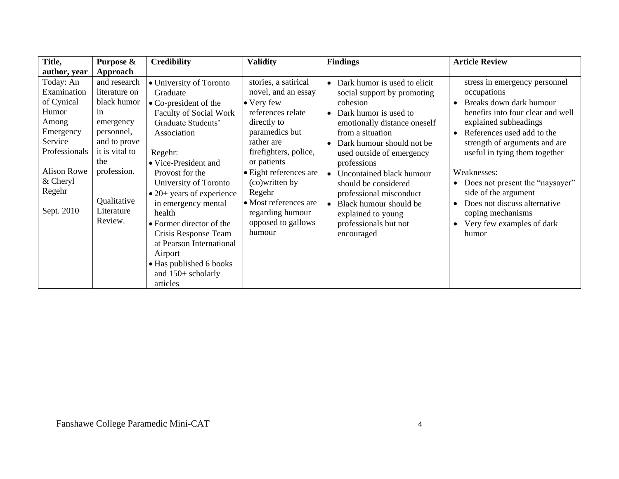| Title,                                                                           | Purpose &                                                                                     | <b>Credibility</b>                                                                                                                                                                                                                                                                                        | <b>Validity</b>                                                                                                                                                          | <b>Findings</b>                                                                                                                                                                                                    | <b>Article Review</b>                                                                                                                                                                                                                     |
|----------------------------------------------------------------------------------|-----------------------------------------------------------------------------------------------|-----------------------------------------------------------------------------------------------------------------------------------------------------------------------------------------------------------------------------------------------------------------------------------------------------------|--------------------------------------------------------------------------------------------------------------------------------------------------------------------------|--------------------------------------------------------------------------------------------------------------------------------------------------------------------------------------------------------------------|-------------------------------------------------------------------------------------------------------------------------------------------------------------------------------------------------------------------------------------------|
| author, year                                                                     | Approach                                                                                      |                                                                                                                                                                                                                                                                                                           |                                                                                                                                                                          |                                                                                                                                                                                                                    |                                                                                                                                                                                                                                           |
| Today: An<br>Examination<br>of Cynical<br>Humor<br>Among<br>Emergency<br>Service | and research<br>literature on<br>black humor<br>in<br>emergency<br>personnel,<br>and to prove | • University of Toronto<br>Graduate<br>$\bullet$ Co-president of the<br><b>Faculty of Social Work</b><br>Graduate Students'<br>Association                                                                                                                                                                | stories, a satirical<br>novel, and an essay<br>• Very few<br>references relate<br>directly to<br>paramedics but<br>rather are                                            | • Dark humor is used to elicit<br>social support by promoting<br>cohesion<br>• Dark humor is used to<br>emotionally distance oneself<br>from a situation<br>• Dark humour should not be                            | stress in emergency personnel<br>occupations<br>Breaks down dark humour<br>$\bullet$<br>benefits into four clear and well<br>explained subheadings<br>References used add to the<br>strength of arguments and are                         |
| Professionals<br><b>Alison Rowe</b><br>$&$ Cheryl<br>Regehr<br>Sept. 2010        | it is vital to<br>the<br>profession.<br>Qualitative<br>Literature<br>Review.                  | Regehr:<br>• Vice-President and<br>Provost for the<br>University of Toronto<br>$\bullet$ 20+ years of experience<br>in emergency mental<br>health<br>• Former director of the<br>Crisis Response Team<br>at Pearson International<br>Airport<br>• Has published 6 books<br>and 150+ scholarly<br>articles | firefighters, police,<br>or patients<br>• Eight references are<br>(co) written by<br>Regehr<br>• Most references are<br>regarding humour<br>opposed to gallows<br>humour | used outside of emergency<br>professions<br>• Uncontained black humour<br>should be considered<br>professional misconduct<br>• Black humour should be<br>explained to young<br>professionals but not<br>encouraged | useful in tying them together<br>Weaknesses:<br>Does not present the "naysayer"<br>$\bullet$<br>side of the argument<br>Does not discuss alternative<br>$\bullet$<br>coping mechanisms<br>Very few examples of dark<br>$\bullet$<br>humor |